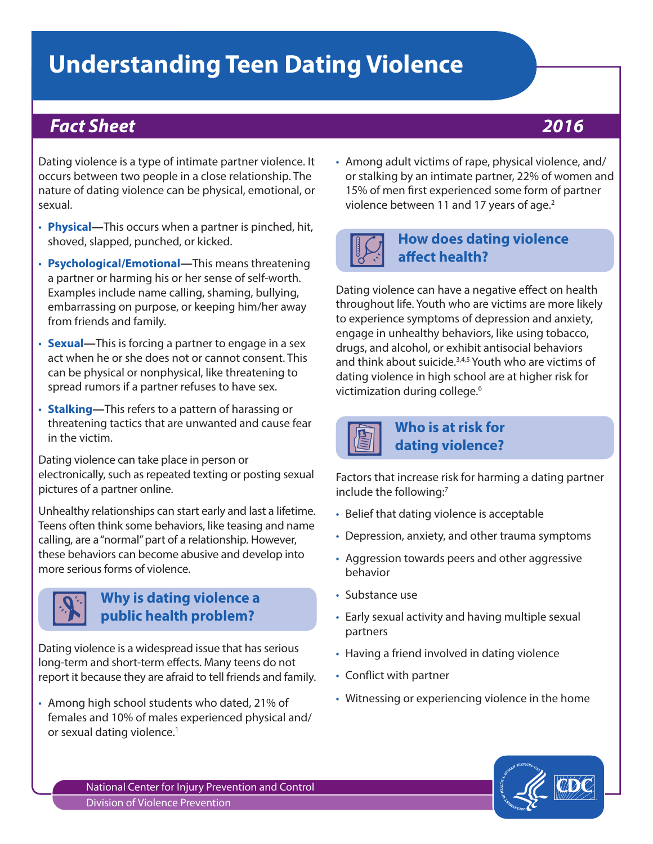# **Understanding Teen Dating Violence**

## *Fact Sheet 2016*

Dating violence is a type of intimate partner violence. It occurs between two people in a close relationship. The nature of dating violence can be physical, emotional, or sexual.

- **Physical—**This occurs when a partner is pinched, hit, shoved, slapped, punched, or kicked.
- **Psychological/Emotional—**This means threatening a partner or harming his or her sense of self-worth. Examples include name calling, shaming, bullying, embarrassing on purpose, or keeping him/her away from friends and family.
- **Sexual—**This is forcing a partner to engage in a sex act when he or she does not or cannot consent. This can be physical or nonphysical, like threatening to spread rumors if a partner refuses to have sex.
- **Stalking—**This refers to a pattern of harassing or threatening tactics that are unwanted and cause fear in the victim.

Dating violence can take place in person or electronically, such as repeated texting or posting sexual pictures of a partner online.

Unhealthy relationships can start early and last a lifetime. Teens often think some behaviors, like teasing and name calling, are a "normal" part of a relationship. However, these behaviors can become abusive and develop into more serious forms of violence.



#### **Why is dating violence a public health problem?**

Dating violence is a widespread issue that has serious long-term and short-term effects. Many teens do not report it because they are afraid to tell friends and family.

• Among high school students who dated, 21% of females and 10% of males experienced physical and/ or sexual dating violence.<sup>1</sup>

• Among adult victims of rape, physical violence, and/ or stalking by an intimate partner, 22% of women and 15% of men first experienced some form of partner violence between 11 and 17 years of age.<sup>2</sup>



#### **How does dating violence affect health?**

Dating violence can have a negative effect on health throughout life. Youth who are victims are more likely to experience symptoms of depression and anxiety, engage in unhealthy behaviors, like using tobacco, drugs, and alcohol, or exhibit antisocial behaviors and think about suicide.3,4,5 Youth who are victims of dating violence in high school are at higher risk for victimization during college.<sup>6</sup>



#### **Who is at risk for dating violence?**

Factors that increase risk for harming a dating partner include the following:<sup>7</sup>

- Belief that dating violence is acceptable
- Depression, anxiety, and other trauma symptoms
- Aggression towards peers and other aggressive behavior
- Substance use
- Early sexual activity and having multiple sexual partners
- Having a friend involved in dating violence
- Conflict with partner
- Witnessing or experiencing violence in the home



National Center for Injury Prevention and Control Division of Violence Prevention